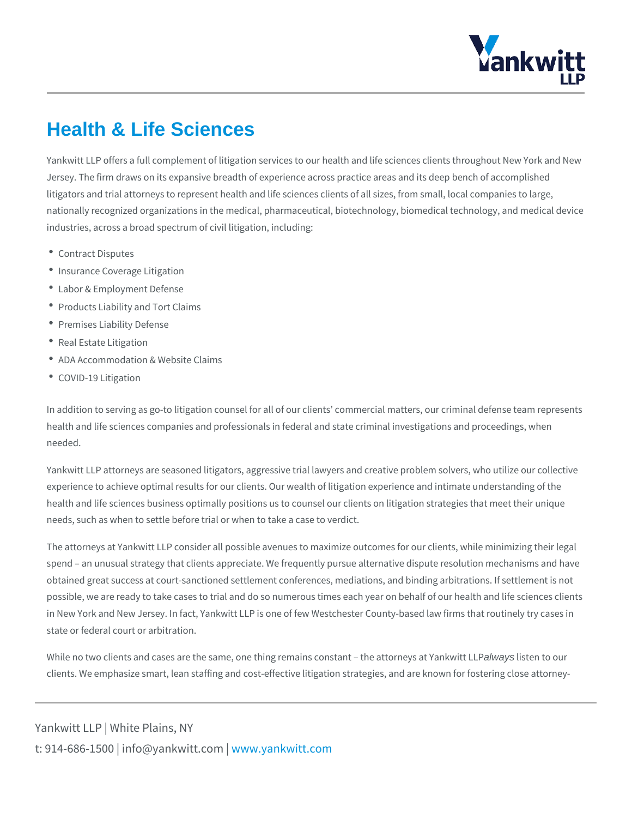## Health & Life Sciences

Yankwitt LLP offers a full complement of litigation services to our health and life Jersey. The firm draws on its expansive breadth of experience across practice are litigators and trial attorneys to represent health and life sciences clients of all : nationally recognized organizations in the medical, pharmaceutical, biotechnolog industries, across a broad spectrum of civil litigation, including:

- Contract Disputes
- Insurance Coverage Litigation
- Labor & Employment Defense
- Products Liability and Tort Claims
- Premises Liability Defense
- Real Estate Litigation
- ADA Accommodation & Website Claims
- COVID-19 Litigation

In addition to serving as go-to litigation counsel for all of our clients commercial health and life sciences companies and professionals in federal and state crimin needed.

Yankwitt LLP attorneys are seasoned litigators, aggressive trial lawyers and crea experience to achieve optimal results for our clients. Our wealth of litigation exp health and life sciences business optimally positions us to counsel our clients o needs, such as when to settle before trial or when to take a case to verdict.

The attorneys at Yankwitt LLP consider all possible avenues to maximize outcom spend an unusual strategy that clients appreciate. We frequently pursue alternative resolution mechanisms and h obtained great success at court-sanctioned settlement conferences, mediations, possible, we are ready to take cases to trial and do so numerous times each yea in New York and New Jersey. In fact, Yankwitt LLP is one of few Westchester Co state or federal court or arbitration.

While no two clients and cases are the same, one thing remaalwaayscbissteantto otthe at clients. We emphasize smart, lean staffing and cost-effective litigation strategie

Yankwitt LLP | White Plains, NY t:  $914 - 686 - 1500$  | info@y wawn ky wom it kt wo it obtm c b m